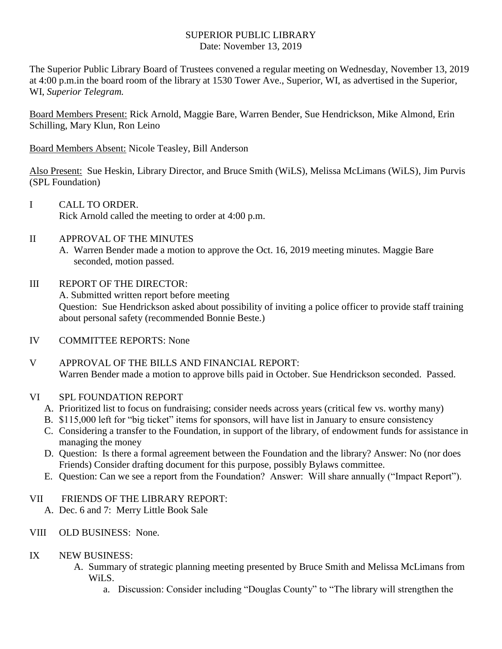## SUPERIOR PUBLIC LIBRARY Date: November 13, 2019

The Superior Public Library Board of Trustees convened a regular meeting on Wednesday, November 13, 2019 at 4:00 p.m.in the board room of the library at 1530 Tower Ave., Superior, WI, as advertised in the Superior, WI, *Superior Telegram.*

Board Members Present: Rick Arnold, Maggie Bare, Warren Bender, Sue Hendrickson, Mike Almond, Erin Schilling, Mary Klun, Ron Leino

Board Members Absent: Nicole Teasley, Bill Anderson

Also Present: Sue Heskin, Library Director, and Bruce Smith (WiLS), Melissa McLimans (WiLS), Jim Purvis (SPL Foundation)

- I CALL TO ORDER. Rick Arnold called the meeting to order at 4:00 p.m.
- II APPROVAL OF THE MINUTES
	- A. Warren Bender made a motion to approve the Oct. 16, 2019 meeting minutes. Maggie Bare seconded, motion passed.
- III REPORT OF THE DIRECTOR:

A. Submitted written report before meeting Question: Sue Hendrickson asked about possibility of inviting a police officer to provide staff training about personal safety (recommended Bonnie Beste.)

IV COMMITTEE REPORTS: None

V APPROVAL OF THE BILLS AND FINANCIAL REPORT: Warren Bender made a motion to approve bills paid in October. Sue Hendrickson seconded. Passed.

## VI SPL FOUNDATION REPORT

- A. Prioritized list to focus on fundraising; consider needs across years (critical few vs. worthy many)
- B. \$115,000 left for "big ticket" items for sponsors, will have list in January to ensure consistency
- C. Considering a transfer to the Foundation, in support of the library, of endowment funds for assistance in managing the money
- D. Question: Is there a formal agreement between the Foundation and the library? Answer: No (nor does Friends) Consider drafting document for this purpose, possibly Bylaws committee.
- E. Question: Can we see a report from the Foundation? Answer: Will share annually ("Impact Report").

## VII FRIENDS OF THE LIBRARY REPORT:

A. Dec. 6 and 7: Merry Little Book Sale

- VIII OLD BUSINESS: None.
- IX NEW BUSINESS:
	- A. Summary of strategic planning meeting presented by Bruce Smith and Melissa McLimans from WiLS.
		- a. Discussion: Consider including "Douglas County" to "The library will strengthen the